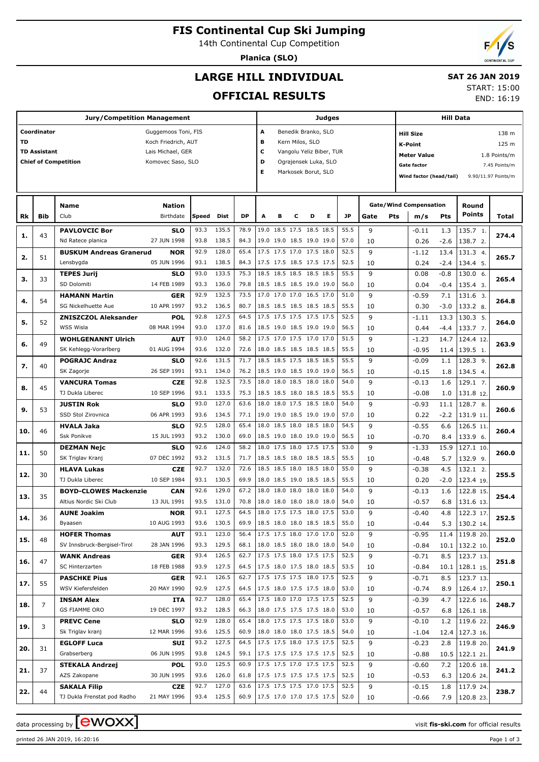# **FIS Continental Cup Ski Jumping**

14th Continental Cup Competition

**Planica (SLO)**

# **LARGE HILL INDIVIDUAL**

# **SAT 26 JAN 2019**

## **OFFICIAL RESULTS**

START: 15:00

END: 16:19

|           |                                                  | <b>Jury/Competition Management</b>        | <b>Judges</b>              |              |                |              |   |                                                                       |                     |                     | <b>Hill Data</b> |                                        |         |                         |                                      |               |                        |                     |  |  |
|-----------|--------------------------------------------------|-------------------------------------------|----------------------------|--------------|----------------|--------------|---|-----------------------------------------------------------------------|---------------------|---------------------|------------------|----------------------------------------|---------|-------------------------|--------------------------------------|---------------|------------------------|---------------------|--|--|
|           | Coordinator<br>Guggemoos Toni, FIS<br>A          |                                           |                            |              |                |              |   |                                                                       |                     | Benedik Branko, SLO |                  |                                        |         |                         | 138 m<br><b>Hill Size</b>            |               |                        |                     |  |  |
| <b>TD</b> | Koch Friedrich, AUT                              |                                           |                            |              |                |              |   |                                                                       | Kern Milos, SLO     |                     |                  |                                        |         | 125 m<br><b>K-Point</b> |                                      |               |                        |                     |  |  |
|           | <b>TD Assistant</b>                              |                                           | Lais Michael, GER          |              |                |              | c | Vangolu Yeliz Biber, TUR                                              |                     |                     |                  |                                        |         |                         | 1.8 Points/m                         |               |                        |                     |  |  |
|           | <b>Chief of Competition</b><br>Komovec Saso, SLO |                                           |                            |              |                |              |   | <b>Meter Value</b><br>D<br>Ograjensek Luka, SLO<br><b>Gate factor</b> |                     |                     |                  |                                        |         |                         |                                      |               |                        | 7.45 Points/m       |  |  |
|           |                                                  |                                           |                            |              |                |              | Е |                                                                       | Markosek Borut, SLO |                     |                  |                                        |         |                         | Wind factor (head/tail)              |               |                        | 9.90/11.97 Points/m |  |  |
|           |                                                  |                                           |                            |              |                |              |   |                                                                       |                     |                     |                  |                                        |         |                         |                                      |               |                        |                     |  |  |
|           |                                                  |                                           |                            |              |                |              |   |                                                                       |                     |                     |                  |                                        |         |                         |                                      |               |                        |                     |  |  |
| Rk        | Bib                                              | <b>Name</b><br>Club                       | <b>Nation</b><br>Birthdate | Speed        | Dist           | <b>DP</b>    | A | в                                                                     | c                   | D                   | Е                | <b>JP</b>                              | Gate    | <b>Pts</b>              | <b>Gate/Wind Compensation</b><br>m/s | <b>Pts</b>    | Round<br><b>Points</b> | Total               |  |  |
|           |                                                  |                                           |                            | 93.3         | 135.5          | 78.9         |   | 19.0 18.5 17.5 18.5 18.5                                              |                     |                     |                  | 55.5                                   | 9       |                         |                                      |               |                        |                     |  |  |
| 1.        | 43                                               | <b>PAVLOVCIC Bor</b><br>Nd Ratece planica | SLO<br>27 JUN 1998         | 93.8         | 138.5          | 84.3         |   | 19.0 19.0 18.5 19.0 19.0                                              |                     |                     |                  | 57.0                                   | 10      |                         | $-0.11$<br>0.26                      | 1.3<br>$-2.6$ | 135.7 1.<br>138.7 2.   | 274.4               |  |  |
|           |                                                  | <b>BUSKUM Andreas Granerud</b>            | <b>NOR</b>                 | 92.9         | 128.0          | 65.4         |   | 17.5 17.5 17.0 17.5 18.0                                              |                     |                     |                  | 52.5                                   | 9       |                         | $-1.12$                              | 13.4          | 131.3 4.               |                     |  |  |
| 2.        | 51                                               | Lensbygda                                 | 05 JUN 1996                | 93.1         | 138.5          | 84.3         |   | 17.5 17.5 18.5 17.5 17.5                                              |                     |                     |                  | 52.5                                   | 10      |                         | 0.24                                 | $-2.4$        | 134.4 5.               | 265.7               |  |  |
|           |                                                  | <b>TEPES Jurij</b>                        | SLO                        | 93.0         | 133.5          | 75.3         |   | 18.5 18.5 18.5 18.5 18.5                                              |                     |                     |                  | 55.5                                   | 9       |                         | 0.08                                 | $-0.8$        | 130.0 6.               |                     |  |  |
| з.        | 33                                               | SD Dolomiti                               | 14 FEB 1989                | 93.3         | 136.0          | 79.8         |   | 18.5 18.5 18.5 19.0 19.0                                              |                     |                     |                  | 56.0                                   | 10      |                         | 0.04                                 | $-0.4$        | 135.4 3.               | 265.4               |  |  |
|           |                                                  | <b>HAMANN Martin</b>                      | <b>GER</b>                 | 92.9         | 132.5          | 73.5         |   | 17.0 17.0 17.0 16.5 17.0                                              |                     |                     |                  | 51.0                                   | 9       |                         | $-0.59$                              | 7.1           | 131.6 3.               |                     |  |  |
| 4.        | 54                                               | SG Nickelhuette Aue                       | 10 APR 1997                | 93.2         | 136.5          | 80.7         |   | 18.5 18.5 18.5 18.5 18.5                                              |                     |                     |                  | 55.5                                   | 10      |                         | 0.30                                 | $-3.0$        | 133.2 8.               | 264.8               |  |  |
| 5.        | 52                                               | <b>ZNISZCZOL Aleksander</b>               | POL                        | 92.8         | 127.5          | 64.5         |   | 17.5 17.5 17.5 17.5 17.5                                              |                     |                     |                  | 52.5                                   | 9       |                         | $-1.11$                              | 13.3          | 130.3 5.               | 264.0               |  |  |
|           |                                                  | <b>WSS Wisla</b>                          | 08 MAR 1994                | 93.0         | 137.0          | 81.6         |   | 18.5 19.0 18.5 19.0 19.0                                              |                     |                     |                  | 56.5                                   | 10      |                         | 0.44                                 | $-4.4$        | 133.7 7.               |                     |  |  |
| 6.        | 49                                               | <b>WOHLGENANNT Ulrich</b>                 | <b>AUT</b>                 | 93.0         | 124.0          | 58.2         |   | 17.5 17.0 17.5 17.0 17.0                                              |                     |                     |                  | 51.5                                   | 9       |                         | $-1.23$                              | 14.7          | 124.4 12.              | 263.9               |  |  |
|           |                                                  | SK Kehlegg-Vorarlberg                     | 01 AUG 1994                | 93.6         | 132.0          | 72.6         |   | 18.0 18.5 18.5 18.5 18.5                                              |                     |                     |                  | 55.5                                   | 10      |                         | $-0.95$                              | 11.4          | 139.5 1.               |                     |  |  |
| 7.        | 40                                               | <b>POGRAJC Andraz</b>                     | SLO                        | 92.6         | 131.5          | 71.7         |   | 18.5 18.5 17.5 18.5 18.5                                              |                     |                     |                  | 55.5                                   | 9       |                         | $-0.09$                              | 1.1           | 128.3 9.               | 262.8               |  |  |
|           |                                                  | SK Zagorje                                | 26 SEP 1991                | 93.1         | 134.0          | 76.2         |   | 18.5 19.0 18.5 19.0 19.0                                              |                     |                     |                  | 56.5                                   | 10      |                         | $-0.15$                              | 1.8           | 134.5 4.               |                     |  |  |
| 8.        | 45                                               | <b>VANCURA Tomas</b>                      | <b>CZE</b>                 | 92.8         | 132.5          | 73.5         |   | 18.0 18.0 18.5 18.0 18.0                                              |                     |                     |                  | 54.0                                   | 9       |                         | $-0.13$                              | 1.6           | 129.1 7.               | 260.9               |  |  |
|           |                                                  | TJ Dukla Liberec                          | 10 SEP 1996                | 93.1<br>93.0 | 133.5<br>127.0 | 75.3<br>63.6 |   | 18.5 18.5 18.0 18.5 18.5<br>18.0 18.0 17.5 18.5 18.0                  |                     |                     |                  | 55.5<br>54.0                           | 10<br>9 |                         | $-0.08$                              | 1.0           | 131.8 12               |                     |  |  |
| 9.        | 53                                               | <b>JUSTIN Rok</b><br>SSD Stol Zirovnica   | SLO<br>06 APR 1993         | 93.6         | 134.5          | 77.1         |   | 19.0 19.0 18.5 19.0 19.0                                              |                     |                     |                  | 57.0                                   |         |                         | $-0.93$                              | 11.1          | 128.7 8.               | 260.6               |  |  |
|           |                                                  | <b>HVALA Jaka</b>                         | <b>SLO</b>                 | 92.5         | 128.0          | 65.4         |   | 18.0 18.5 18.0 18.5 18.0                                              |                     |                     |                  | 54.5                                   | 10<br>9 |                         | 0.22<br>$-0.55$                      | $-2.2$<br>6.6 | 131.9 11<br>126.5 11.  |                     |  |  |
| 10.       | 46                                               | <b>Ssk Ponikve</b>                        | 15 JUL 1993                | 93.2         | 130.0          | 69.0         |   | 18.5 19.0 18.0 19.0 19.0                                              |                     |                     |                  | 56.5                                   | 10      |                         | $-0.70$                              | 8.4           | 133.9 6.               | 260.4               |  |  |
|           |                                                  | <b>DEZMAN Nejc</b>                        | <b>SLO</b>                 | 92.6         | 124.0          | 58.2         |   | 18.0 17.5 18.0 17.5 17.5                                              |                     |                     |                  | 53.0                                   | 9       |                         | $-1.33$                              | 15.9          | 127.1 10.              |                     |  |  |
| 11.       | 50                                               | SK Triglav Kranj                          | 07 DEC 1992                | 93.2         | 131.5          | 71.7         |   | 18.5 18.5 18.0 18.5 18.5                                              |                     |                     |                  | 55.5                                   | 10      |                         | $-0.48$                              | 5.7           | 132.9 9.               | 260.0               |  |  |
|           |                                                  | <b>HLAVA Lukas</b>                        | <b>CZE</b>                 | 92.7         | 132.0          | 72.6         |   | 18.5 18.5 18.0 18.5 18.0                                              |                     |                     |                  | 55.0                                   | 9       |                         | $-0.38$                              | 4.5           | 132.1 2.               |                     |  |  |
| 12.       | 30                                               | TJ Dukla Liberec                          | 10 SEP 1984                | 93.1         | 130.5          | 69.9         |   | 18.0 18.5 19.0 18.5 18.5                                              |                     |                     |                  | 55.5                                   | 10      |                         | 0.20                                 | $-2.0$        | 123.4 19               | 255.5               |  |  |
|           |                                                  | <b>BOYD-CLOWES Mackenzie</b>              | <b>CAN</b>                 | 92.6         | 129.0          | 67.2         |   | 18.0 18.0 18.0 18.0 18.0                                              |                     |                     |                  | 54.0                                   | 9       |                         | $-0.13$                              | 1.6           | 122.8 15.              |                     |  |  |
| 13.       | 35                                               | Altius Nordic Ski Club                    | 13 JUL 1991                | 93.5         | 131.0          | 70.8         |   | 18.0 18.0 18.0 18.0 18.0                                              |                     |                     |                  | 54.0                                   | 10      |                         | $-0.57$                              | 6.8           | 131.6 13.              | 254.4               |  |  |
| 14.       | 36                                               | <b>AUNE Joakim</b>                        | <b>NOR</b>                 | 93.1         | 127.5          | 64.5         |   | 18.0 17.5 17.5 18.0 17.5                                              |                     |                     |                  | 53.0                                   | 9       |                         | $-0.40$                              | 4.8           | 122.3 17.              | 252.5               |  |  |
|           |                                                  | Byaasen                                   | 10 AUG 1993                | 93.6         | 130.5          | 69.9         |   | 18.5 18.0 18.0 18.5 18.5                                              |                     |                     |                  | 55.0                                   | 10      |                         | $-0.44$                              | 5.3           | 130.2 14.              |                     |  |  |
| 15.       | 48                                               | <b>HOFER Thomas</b>                       | <b>AUT</b>                 | 93.1         | 123.0          | 56.4         |   | 17.5 17.5 18.0 17.0 17.0                                              |                     |                     |                  | 52.0                                   | 9       |                         | $-0.95$                              | 11.4          | 119.820.               | 252.0               |  |  |
|           |                                                  | SV Innsbruck-Bergisel-Tirol               | 28 JAN 1996                |              | 93.3 129.5     | 68.1         |   | 18.0 18.5 18.0 18.0 18.0                                              |                     |                     |                  | 54.0                                   | 10      |                         | $-0.84$                              | 10.1          | 132.2 10.              |                     |  |  |
| 16.       | 47                                               | <b>WANK Andreas</b>                       | <b>GER</b>                 | 93.4         | 126.5          | 62.7         |   | 17.5 17.5 18.0 17.5 17.5                                              |                     |                     |                  | 52.5                                   | 9       |                         | $-0.71$                              | 8.5           | 123.7 13.              | 251.8               |  |  |
|           |                                                  | SC Hinterzarten                           | 18 FEB 1988                | 93.9         | 127.5          | 64.5         |   | 17.5 18.0 17.5 18.0 18.5                                              |                     |                     |                  | 53.5                                   | 10      |                         | $-0.84$                              | 10.1          | 128.1 15.              |                     |  |  |
| 17.       | 55                                               | <b>PASCHKE Pius</b>                       | <b>GER</b>                 | 92.1         | 126.5<br>127.5 | 62.7<br>64.5 |   | 17.5 17.5 17.5 18.0 17.5<br>17.5 18.0 17.5 17.5 18.0                  |                     |                     |                  | 52.5<br>53.0                           | 9       |                         | $-0.71$                              | 8.5           | 123.7 13.              | 250.1               |  |  |
|           |                                                  | WSV Kiefersfelden                         | 20 MAY 1990                | 92.9<br>92.7 | 128.0          | 65.4         |   | 17.5 18.0 17.0 17.5 17.5                                              |                     |                     |                  | 52.5                                   | 10<br>9 |                         | $-0.74$                              | 8.9           | 126.4 17.              |                     |  |  |
| 18.       | 7                                                | <b>INSAM Alex</b><br>GS FIAMME ORO        | ITA<br>19 DEC 1997         | 93.2         | 128.5          | 66.3         |   | 18.0 17.5 17.5 17.5 18.0                                              |                     |                     |                  | 53.0                                   | 10      |                         | $-0.39$<br>$-0.57$                   | 4.7<br>6.8    | 122.6 16.<br>126.1 18. | 248.7               |  |  |
|           |                                                  | <b>PREVC Cene</b>                         | SLO                        | 92.9         | 128.0          | 65.4         |   | 18.0 17.5 17.5 17.5 18.0                                              |                     |                     |                  | 53.0                                   | 9       |                         | $-0.10$                              | 1.2           | 119.6 22.              |                     |  |  |
| 19.       | 3                                                | Sk Triglav kranj                          | 12 MAR 1996                | 93.6         | 125.5          | 60.9         |   | 18.0 18.0 18.0 17.5 18.5                                              |                     |                     |                  | 54.0                                   | 10      |                         | $-1.04$                              | 12.4          | 127.3 16.              | 246.9               |  |  |
|           |                                                  | <b>EGLOFF Luca</b>                        | SUI                        | 93.2         | 127.5          | 64.5         |   | 17.5 17.5 18.0 17.5 17.5                                              |                     |                     |                  | 52.5                                   | 9       |                         | $-0.23$                              | 2.8           | 119.8 20.              |                     |  |  |
| 20.       | 31                                               | Grabserberg                               | 06 JUN 1995                | 93.8         | 124.5          | 59.1         |   | 17.5 17.5 17.5 17.5 17.5                                              |                     |                     |                  | 52.5                                   | 10      |                         | $-0.88$                              | 10.5          | 122.1 21.              | 241.9               |  |  |
|           |                                                  | <b>STEKALA Andrzej</b>                    | <b>POL</b>                 | 93.0         | 125.5          | 60.9         |   | 17.5 17.5 17.0 17.5 17.5                                              |                     |                     |                  | 52.5                                   | 9       |                         | $-0.60$                              | 7.2           | 120.6 18.              |                     |  |  |
| 21.       | 37                                               | AZS Zakopane                              | 30 JUN 1995                | 93.6         | 126.0          | 61.8         |   | 17.5 17.5 17.5 17.5 17.5                                              |                     |                     |                  | 52.5                                   | 10      |                         | $-0.53$                              | 6.3           | 120.6 24.              | 241.2               |  |  |
|           |                                                  | <b>SAKALA Filip</b>                       | CZE                        | 92.7         | 127.0          | 63.6         |   | 17.5 17.5 17.5 17.0 17.5                                              |                     |                     |                  | 52.5                                   | 9       |                         | $-0.15$                              | 1.8           | 117.9 24.              |                     |  |  |
| 22.       | 44                                               | TJ Dukla Frenstat pod Radho               | 21 MAY 1996                |              | 93.4 125.5     |              |   |                                                                       |                     |                     |                  | 60.9   17.5 17.0 17.0 17.5 17.5   52.0 | 10      |                         | $-0.66$                              |               | 7.9   120.8 23.        | 238.7               |  |  |

data processing by **CWOXX** and  $\overline{C}$  and  $\overline{C}$  and  $\overline{C}$  and  $\overline{C}$  and  $\overline{C}$  and  $\overline{C}$  and  $\overline{C}$  and  $\overline{C}$  and  $\overline{C}$  and  $\overline{C}$  and  $\overline{C}$  and  $\overline{C}$  and  $\overline{C}$  and  $\overline{C}$  and  $\overline{C}$ 

printed 26 JAN 2019, 16:20:16 Page 1 of 3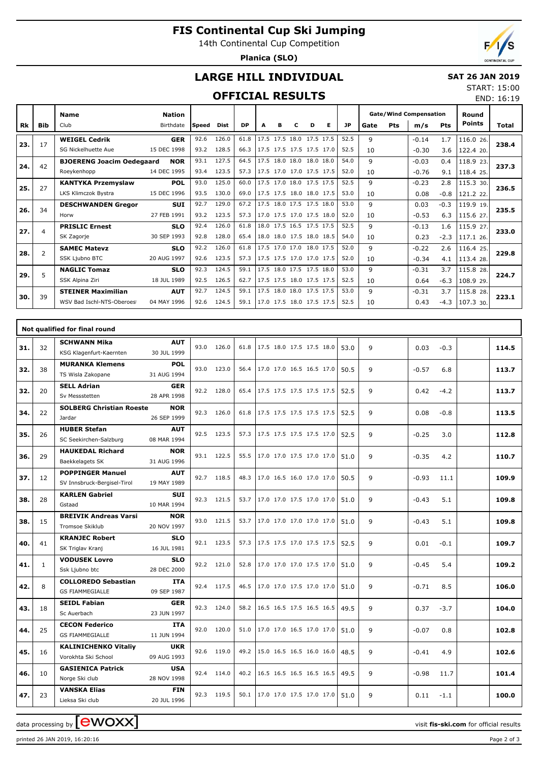# **FIS Continental Cup Ski Jumping**

14th Continental Cup Competition

**Planica (SLO)**



END: 16:19

## **LARGE HILL INDIVIDUAL**

### **SAT 26 JAN 2019** START: 15:00

## **OFFICIAL RESULTS**

| Rk  | <b>Bib</b> | <b>Name</b><br>Club              | <b>Nation</b><br>Birthdate | Speed | Dist  | <b>DP</b> | A | в | D.                       | Е | <b>JP</b> | Gate        | Pts | <b>Gate/Wind Compensation</b><br>m/s | Pts    | Round<br>Points | <b>Total</b> |
|-----|------------|----------------------------------|----------------------------|-------|-------|-----------|---|---|--------------------------|---|-----------|-------------|-----|--------------------------------------|--------|-----------------|--------------|
|     |            |                                  |                            |       |       |           |   |   |                          |   |           |             |     |                                      |        |                 |              |
| 23. | 17         | <b>WEIGEL Cedrik</b>             | <b>GER</b>                 | 92.6  | 126.0 | 61.8      |   |   | 17.5 17.5 18.0 17.5 17.5 |   | 52.5      | 9           |     | $-0.14$                              | 1.7    | 116.0 26.       | 238.4        |
|     |            | SG Nickelhuette Aue              | 15 DEC 1998                | 93.2  | 128.5 | 66.3      |   |   | 17.5 17.5 17.5 17.5 17.0 |   | 52.5      | 10          |     | $-0.30$                              | 3.6    | 122.4 20.       |              |
| 24. | 42         | <b>BJOERENG Joacim Oedegaard</b> | <b>NOR</b>                 | 93.1  | 127.5 | 64.5      |   |   | 17.5 18.0 18.0 18.0 18.0 |   | 54.0      | 9           |     | $-0.03$                              | 0.4    | 118.9 23.       | 237.3        |
|     |            | Roeykenhopp                      | 14 DEC 1995                | 93.4  | 123.5 | 57.3      |   |   | 17.5 17.0 17.0 17.5 17.5 |   | 52.0      | 10          |     | $-0.76$                              | 9.1    | 118.4 25.       |              |
| 25. | 27         | <b>KANTYKA Przemyslaw</b>        | <b>POL</b>                 | 93.0  | 125.0 | 60.0      |   |   | 17.5 17.0 18.0 17.5 17.5 |   | 52.5      | 9           |     | $-0.23$                              | 2.8    | 115.3 30.       | 236.5        |
|     |            | LKS Klimczok Bystra              | 15 DEC 1996                | 93.5  | 130.0 | 69.0      |   |   | 17.5 17.5 18.0 18.0 17.5 |   | 53.0      | 10          |     | 0.08                                 | $-0.8$ | 121.2 22.       |              |
| 26. | 34         | <b>DESCHWANDEN Gregor</b>        | <b>SUI</b>                 | 92.7  | 129.0 | 67.2      |   |   | 17.5 18.0 17.5 17.5 18.0 |   | 53.0      | 9           |     | 0.03                                 | $-0.3$ | 119.9 19.       | 235.5        |
|     |            | Horw                             | 27 FEB 1991                | 93.2  | 123.5 | 57.3      |   |   | 17.0 17.5 17.0 17.5 18.0 |   | 52.0      | 10          |     | $-0.53$                              | 6.3    | 115.6 27.       |              |
| 27. | 4          | <b>PRISLIC Ernest</b>            | <b>SLO</b>                 | 92.4  | 126.0 | 61.8      |   |   | 18.0 17.5 16.5 17.5 17.5 |   | 52.5      | $\mathsf q$ |     | $-0.13$                              | 1.6    | 115.9 27.       | 233.0        |
|     |            | SK Zagorje                       | 30 SEP 1993                | 92.8  | 128.0 | 65.4      |   |   | 18.0 18.0 17.5 18.0 18.5 |   | 54.0      | 10          |     | 0.23                                 | $-2.3$ | 117.1 26.       |              |
| 28. | 2          | <b>SAMEC Matevz</b>              | <b>SLO</b>                 | 92.2  | 126.0 | 61.8      |   |   | 17.5 17.0 17.0 18.0 17.5 |   | 52.0      | 9           |     | $-0.22$                              | 2.6    | 116.4 25.       | 229.8        |
|     |            | SSK Ljubno BTC                   | 20 AUG 1997                | 92.6  | 123.5 | 57.3      |   |   | 17.5 17.5 17.0 17.0 17.5 |   | 52.0      | 10          |     | $-0.34$                              | 4.1    | 113.4 28.       |              |
| 29. | 5          | <b>NAGLIC Tomaz</b>              | <b>SLO</b>                 | 92.3  | 124.5 | 59.1      |   |   | 17.5 18.0 17.5 17.5 18.0 |   | 53.0      | 9           |     | $-0.31$                              | 3.7    | 115.8 28.       | 224.7        |
|     |            | SSK Alpina Ziri                  | 18 JUL 1989                | 92.5  | 126.5 | 62.7      |   |   | 17.5 17.5 18.0 17.5 17.5 |   | 52.5      | 10          |     | 0.64                                 | $-6.3$ | 108.9 29.       |              |
| 30. | 39         | <b>STEINER Maximilian</b>        | <b>AUT</b>                 | 92.7  | 124.5 | 59.1      |   |   | 17.5 18.0 18.0 17.5 17.5 |   | 53.0      | 9           |     | $-0.31$                              | 3.7    | 115.8 28.       | 223.1        |
|     |            | WSV Bad Ischl-NTS-Oberoes        | 04 MAY 1996                | 92.6  | 124.5 | 59.1      |   |   | 17.0 17.5 18.0 17.5 17.5 |   | 52.5      | 10          |     | 0.43                                 | $-4.3$ | 107.3 30.       |              |
|     |            |                                  |                            |       |       |           |   |   |                          |   |           |             |     |                                      |        |                 |              |

|     | Not qualified for final round |                                 |             |      |            |      |                          |  |  |      |   |         |        |  |                                                                                                                                              |
|-----|-------------------------------|---------------------------------|-------------|------|------------|------|--------------------------|--|--|------|---|---------|--------|--|----------------------------------------------------------------------------------------------------------------------------------------------|
| 31. | 32                            | <b>SCHWANN Mika</b>             | <b>AUT</b>  |      | 93.0 126.0 | 61.8 | 17.5 18.0 17.5 17.5 18.0 |  |  | 53.0 | 9 | 0.03    | $-0.3$ |  | 114.5                                                                                                                                        |
|     |                               | KSG Klagenfurt-Kaernten         | 30 JUL 1999 |      |            |      |                          |  |  |      |   |         |        |  |                                                                                                                                              |
| 32. | 38                            | <b>MURANKA Klemens</b>          | <b>POL</b>  |      | 93.0 123.0 | 56.4 | 17.0 17.0 16.5 16.5 17.0 |  |  | 50.5 | 9 | $-0.57$ | 6.8    |  | 113.7<br>113.7<br>113.5<br>112.8<br>110.7<br>109.9<br>109.8<br>109.8<br>109.7<br>109.2<br>106.0<br>104.0<br>102.8<br>102.6<br>101.4<br>100.0 |
|     |                               | TS Wisla Zakopane               | 31 AUG 1994 |      |            |      |                          |  |  |      |   |         |        |  |                                                                                                                                              |
| 32. | 20                            | <b>SELL Adrian</b>              | <b>GER</b>  |      | 92.2 128.0 | 65.4 | 17.5 17.5 17.5 17.5 17.5 |  |  | 52.5 | 9 | 0.42    | $-4.2$ |  |                                                                                                                                              |
|     |                               | Sv Messstetten                  | 28 APR 1998 |      |            |      |                          |  |  |      |   |         |        |  |                                                                                                                                              |
| 34. | 22                            | <b>SOLBERG Christian Roeste</b> | <b>NOR</b>  |      | 92.3 126.0 | 61.8 | 17.5 17.5 17.5 17.5 17.5 |  |  | 52.5 | 9 | 0.08    | $-0.8$ |  |                                                                                                                                              |
|     |                               | Jardar                          | 26 SEP 1999 |      |            |      |                          |  |  |      |   |         |        |  |                                                                                                                                              |
| 35. | 26                            | <b>HUBER Stefan</b>             | <b>AUT</b>  |      | 92.5 123.5 | 57.3 | 17.5 17.5 17.5 17.5 17.0 |  |  | 52.5 | 9 | $-0.25$ | 3.0    |  |                                                                                                                                              |
|     |                               | SC Seekirchen-Salzburg          | 08 MAR 1994 |      |            |      |                          |  |  |      |   |         |        |  |                                                                                                                                              |
| 36. | 29<br>12                      | <b>HAUKEDAL Richard</b>         | <b>NOR</b>  |      | 93.1 122.5 | 55.5 | 17.0 17.0 17.5 17.0 17.0 |  |  | 51.0 | 9 | $-0.35$ | 4.2    |  |                                                                                                                                              |
|     |                               | Baekkelagets SK                 | 31 AUG 1996 |      |            |      |                          |  |  |      |   |         |        |  |                                                                                                                                              |
| 37. |                               | <b>POPPINGER Manuel</b>         | <b>AUT</b>  |      | 92.7 118.5 | 48.3 | 17.0 16.5 16.0 17.0 17.0 |  |  | 50.5 | 9 | $-0.93$ | 11.1   |  |                                                                                                                                              |
|     |                               | SV Innsbruck-Bergisel-Tirol     | 19 MAY 1989 |      |            |      |                          |  |  |      |   |         |        |  |                                                                                                                                              |
| 38. | 28                            | <b>KARLEN Gabriel</b>           | <b>SUI</b>  | 92.3 | 121.5      | 53.7 | 17.0 17.0 17.5 17.0 17.0 |  |  | 51.0 | 9 | $-0.43$ | 5.1    |  |                                                                                                                                              |
|     |                               | Gstaad                          | 10 MAR 1994 |      |            |      |                          |  |  |      |   |         |        |  |                                                                                                                                              |
| 38. | 15                            | <b>BREIVIK Andreas Varsi</b>    | <b>NOR</b>  |      | 93.0 121.5 | 53.7 | 17.0 17.0 17.0 17.0 17.0 |  |  | 51.0 | 9 | $-0.43$ | 5.1    |  |                                                                                                                                              |
|     |                               | Tromsoe Skiklub                 | 20 NOV 1997 |      |            |      |                          |  |  |      |   |         |        |  |                                                                                                                                              |
| 40. | 41                            | <b>KRANJEC Robert</b>           | <b>SLO</b>  |      | 92.1 123.5 | 57.3 | 17.5 17.5 17.0 17.5 17.5 |  |  | 52.5 | 9 | 0.01    | $-0.1$ |  |                                                                                                                                              |
|     |                               | SK Triglav Kranj                | 16 JUL 1981 |      |            |      |                          |  |  |      |   |         |        |  |                                                                                                                                              |
| 41. | $\mathbf{1}$                  | <b>VODUSEK Lovro</b>            | <b>SLO</b>  |      | 92.2 121.0 | 52.8 | 17.0 17.0 17.0 17.5 17.0 |  |  | 51.0 | 9 | $-0.45$ | 5.4    |  |                                                                                                                                              |
|     |                               | Ssk Ljubno btc                  | 28 DEC 2000 |      |            |      |                          |  |  |      |   |         |        |  |                                                                                                                                              |
| 42. | 8                             | <b>COLLOREDO Sebastian</b>      | <b>ITA</b>  |      | 92.4 117.5 | 46.5 | 17.0 17.0 17.5 17.0 17.0 |  |  | 51.0 | 9 | $-0.71$ | 8.5    |  |                                                                                                                                              |
|     |                               | <b>GS FIAMMEGIALLE</b>          | 09 SEP 1987 |      |            |      |                          |  |  |      |   |         |        |  |                                                                                                                                              |
| 43. | 18                            | <b>SEIDL Fabian</b>             | <b>GER</b>  |      | 92.3 124.0 | 58.2 | 16.5 16.5 17.5 16.5 16.5 |  |  | 49.5 | 9 | 0.37    | $-3.7$ |  |                                                                                                                                              |
|     |                               | Sc Auerbach                     | 23 JUN 1997 |      |            |      |                          |  |  |      |   |         |        |  |                                                                                                                                              |
| 44. | 25                            | <b>CECON Federico</b>           | <b>ITA</b>  |      | 92.0 120.0 | 51.0 | 17.0 17.0 16.5 17.0 17.0 |  |  | 51.0 | 9 | $-0.07$ | 0.8    |  |                                                                                                                                              |
|     |                               | <b>GS FIAMMEGIALLE</b>          | 11 JUN 1994 |      |            |      |                          |  |  |      |   |         |        |  |                                                                                                                                              |
| 45. | 16                            | <b>KALINICHENKO Vitaliy</b>     | <b>UKR</b>  |      | 92.6 119.0 | 49.2 | 15.0 16.5 16.5 16.0 16.0 |  |  | 48.5 | 9 | $-0.41$ | 4.9    |  |                                                                                                                                              |
|     |                               | Vorokhta Ski School             | 09 AUG 1993 |      |            |      |                          |  |  |      |   |         |        |  |                                                                                                                                              |
| 46. | 10                            | <b>GASIENICA Patrick</b>        | <b>USA</b>  |      | 92.4 114.0 | 40.2 | 16.5 16.5 16.5 16.5 16.5 |  |  | 49.5 | 9 | $-0.98$ | 11.7   |  |                                                                                                                                              |
|     |                               | Norge Ski club                  | 28 NOV 1998 |      |            |      |                          |  |  |      |   |         |        |  |                                                                                                                                              |
| 47. | 23                            | <b>VANSKA Elias</b>             | <b>FIN</b>  | 92.3 | 119.5      | 50.1 | 17.0 17.0 17.5 17.0 17.0 |  |  | 51.0 | 9 | 0.11    | $-1.1$ |  |                                                                                                                                              |
|     |                               | Lieksa Ski club                 | 20 JUL 1996 |      |            |      |                          |  |  |      |   |         |        |  |                                                                                                                                              |

data processing by **CWOXX**  $\blacksquare$